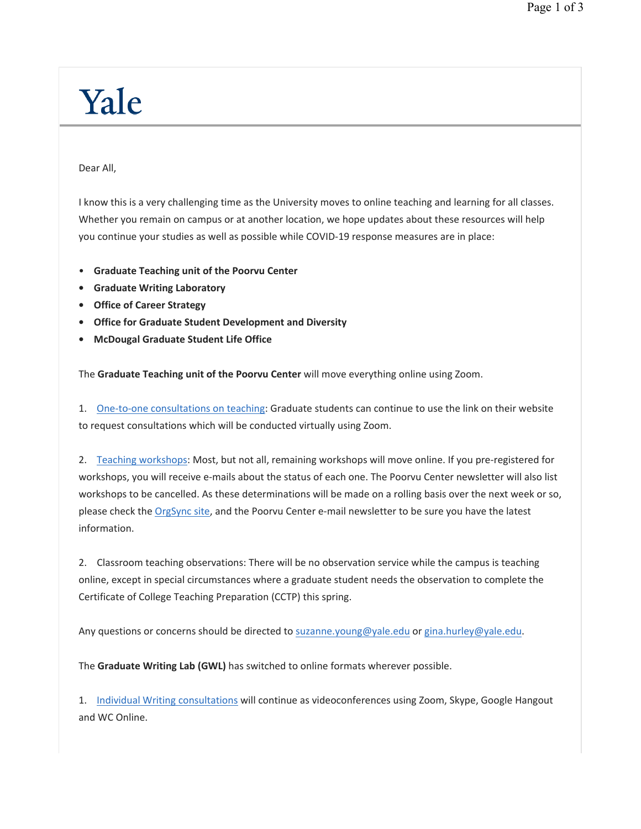## Yale

Dear All,

I know this is a very challenging time as the University moves to online teaching and learning for all classes. Whether you remain on campus or at another location, we hope updates about these resources will help you continue your studies as well as possible while COVID-19 response measures are in place:

- **Graduate Teaching unit of the Poorvu Center**
- **Graduate Writing Laboratory**
- **Office of Career Strategy**
- **Office for Graduate Student Development and Diversity**
- **McDougal Graduate Student Life Office**

The **Graduate Teaching unit of the Poorvu Center** will move everything online using Zoom.

1. One-to-one consultations on teaching: Graduate students can continue to use the link on their website to request consultations which will be conducted virtually using Zoom.

2. Teaching workshops: Most, but not all, remaining workshops will move online. If you pre-registered for workshops, you will receive e-mails about the status of each one. The Poorvu Center newsletter will also list workshops to be cancelled. As these determinations will be made on a rolling basis over the next week or so, please check the OrgSync site, and the Poorvu Center e-mail newsletter to be sure you have the latest information.

2. Classroom teaching observations: There will be no observation service while the campus is teaching online, except in special circumstances where a graduate student needs the observation to complete the Certificate of College Teaching Preparation (CCTP) this spring.

Any questions or concerns should be directed to suzanne.young@yale.edu or gina.hurley@yale.edu.

The **Graduate Writing Lab (GWL)** has switched to online formats wherever possible.

1. Individual Writing consultations will continue as videoconferences using Zoom, Skype, Google Hangout and WC Online.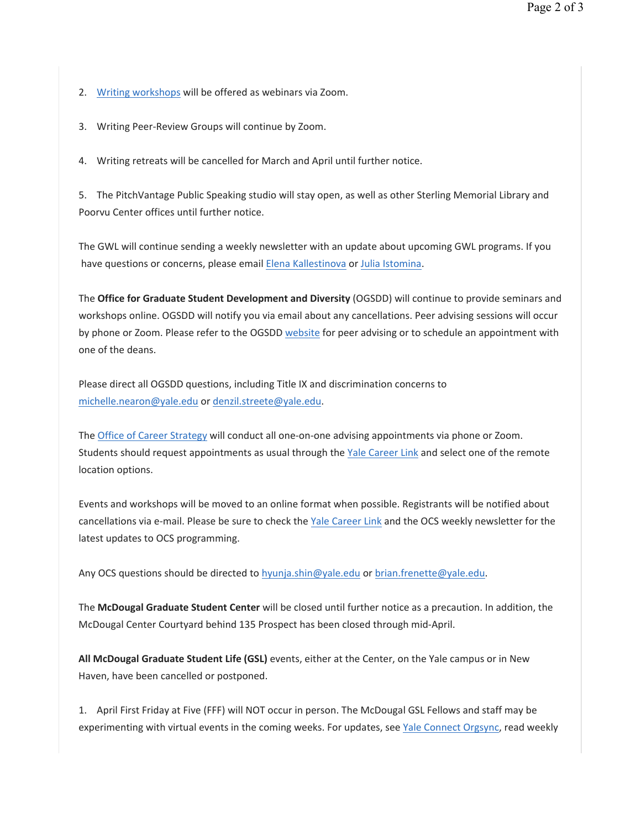- 2. Writing workshops will be offered as webinars via Zoom.
- 3. Writing Peer-Review Groups will continue by Zoom.

4. Writing retreats will be cancelled for March and April until further notice.

5. The PitchVantage Public Speaking studio will stay open, as well as other Sterling Memorial Library and Poorvu Center offices until further notice.

The GWL will continue sending a weekly newsletter with an update about upcoming GWL programs. If you have questions or concerns, please email Elena Kallestinova or Julia Istomina.

The **Office for Graduate Student Development and Diversity** (OGSDD) will continue to provide seminars and workshops online. OGSDD will notify you via email about any cancellations. Peer advising sessions will occur by phone or Zoom. Please refer to the OGSDD website for peer advising or to schedule an appointment with one of the deans.

Please direct all OGSDD questions, including Title IX and discrimination concerns to michelle.nearon@yale.edu or denzil.streete@yale.edu.

The Office of Career Strategy will conduct all one-on-one advising appointments via phone or Zoom. Students should request appointments as usual through the Yale Career Link and select one of the remote location options.

Events and workshops will be moved to an online format when possible. Registrants will be notified about cancellations via e-mail. Please be sure to check the Yale Career Link and the OCS weekly newsletter for the latest updates to OCS programming.

Any OCS questions should be directed to hyunja.shin@yale.edu or brian.frenette@yale.edu.

The **McDougal Graduate Student Center** will be closed until further notice as a precaution. In addition, the McDougal Center Courtyard behind 135 Prospect has been closed through mid-April.

**All McDougal Graduate Student Life (GSL)** events, either at the Center, on the Yale campus or in New Haven, have been cancelled or postponed.

1. April First Friday at Five (FFF) will NOT occur in person. The McDougal GSL Fellows and staff may be experimenting with virtual events in the coming weeks. For updates, see Yale Connect Orgsync, read weekly